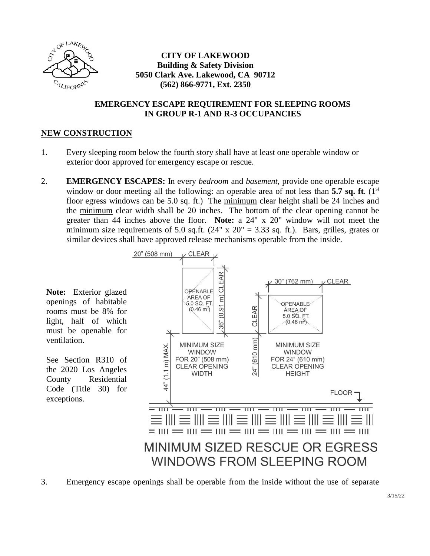

ventilation.

exceptions.

#### **CITY OF LAKEWOOD Building & Safety Division 5050 Clark Ave. Lakewood, CA 90712 (562) 866-9771, Ext. 2350**

#### **EMERGENCY ESCAPE REQUIREMENT FOR SLEEPING ROOMS IN GROUP R-1 AND R-3 OCCUPANCIES**

#### **NEW CONSTRUCTION**

- 1. Every sleeping room below the fourth story shall have at least one operable window or exterior door approved for emergency escape or rescue.
- 2. **EMERGENCY ESCAPES:** In every *bedroom* and *basement,* provide one operable escape window or door meeting all the following: an operable area of not less than **5.7 sq. ft**. (1<sup>st</sup>) floor egress windows can be 5.0 sq. ft.) The minimum clear height shall be 24 inches and the minimum clear width shall be 20 inches. The bottom of the clear opening cannot be greater than 44 inches above the floor. **Note:** a 24" x 20" window will not meet the minimum size requirements of 5.0 sq.ft.  $(24" \times 20" = 3.33$  sq. ft.). Bars, grilles, grates or similar devices shall have approved release mechanisms operable from the inside.



3. Emergency escape openings shall be operable from the inside without the use of separate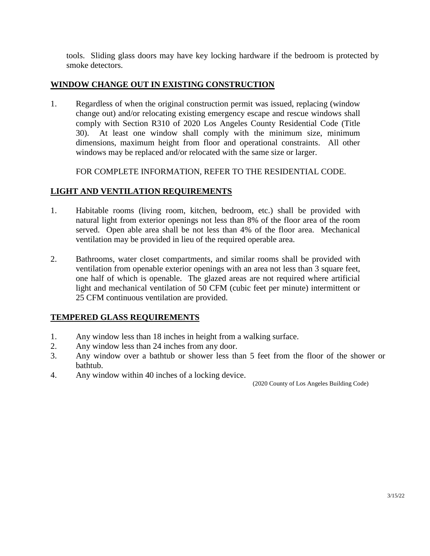tools. Sliding glass doors may have key locking hardware if the bedroom is protected by smoke detectors.

#### **WINDOW CHANGE OUT IN EXISTING CONSTRUCTION**

1. Regardless of when the original construction permit was issued, replacing (window change out) and/or relocating existing emergency escape and rescue windows shall comply with Section R310 of 2020 Los Angeles County Residential Code (Title 30). At least one window shall comply with the minimum size, minimum dimensions, maximum height from floor and operational constraints. All other windows may be replaced and/or relocated with the same size or larger.

FOR COMPLETE INFORMATION, REFER TO THE RESIDENTIAL CODE.

#### **LIGHT AND VENTILATION REQUIREMENTS**

- 1. Habitable rooms (living room, kitchen, bedroom, etc.) shall be provided with natural light from exterior openings not less than 8% of the floor area of the room served. Open able area shall be not less than 4% of the floor area. Mechanical ventilation may be provided in lieu of the required operable area.
- 2. Bathrooms, water closet compartments, and similar rooms shall be provided with ventilation from openable exterior openings with an area not less than 3 square feet, one half of which is openable. The glazed areas are not required where artificial light and mechanical ventilation of 50 CFM (cubic feet per minute) intermittent or 25 CFM continuous ventilation are provided.

#### **TEMPERED GLASS REQUIREMENTS**

- 1. Any window less than 18 inches in height from a walking surface.
- 2. Any window less than 24 inches from any door.
- 3. Any window over a bathtub or shower less than 5 feet from the floor of the shower or bathtub.
- 4. Any window within 40 inches of a locking device.

(2020 County of Los Angeles Building Code)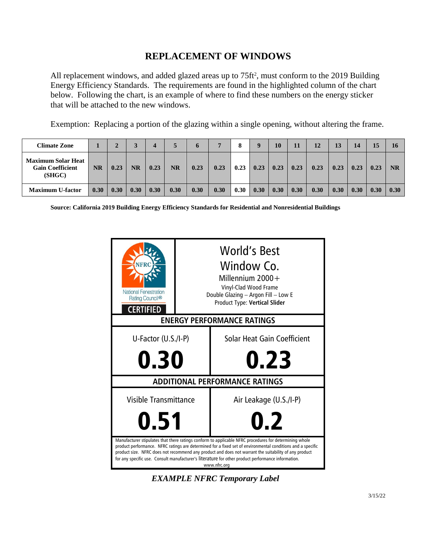### **REPLACEMENT OF WINDOWS**

All replacement windows, and added glazed areas up to  $75 \text{ ft}^2$ , must conform to the 2019 Building Energy Efficiency Standards. The requirements are found in the highlighted column of the chart below. Following the chart, is an example of where to find these numbers on the energy sticker that will be attached to the new windows.

Exemption: Replacing a portion of the glazing within a single opening, without altering the frame.

| <b>Climate Zone</b>                                            |           |      |           |      |                        | n    |      |      | 9    | 10   | 11   | 12   | 13   | 14   |      |           |
|----------------------------------------------------------------|-----------|------|-----------|------|------------------------|------|------|------|------|------|------|------|------|------|------|-----------|
| <b>Maximum Solar Heat</b><br><b>Gain Coefficient</b><br>(SHGC) | <b>NR</b> | 0.23 | <b>NR</b> | 0.23 | $\overline{\text{NR}}$ | 0.23 | 0.23 | 0.23 | 0.23 | 0.23 | 0.23 | 0.23 | 0.23 | 0.23 | 0.23 | <b>NR</b> |
| <b>Maximum U-factor</b>                                        | 0.30      | 0.30 | 0.30      | 0.30 | 0.30                   | 0.30 | 0.30 | 0.30 | 0.30 | 0.30 | 0.30 | 0.30 | 0.30 | 0.30 | 0.30 | 0.30      |

**Source: California 2019 Building Energy Efficiency Standards for Residential and Nonresidential Buildings**



*EXAMPLE NFRC Temporary Label*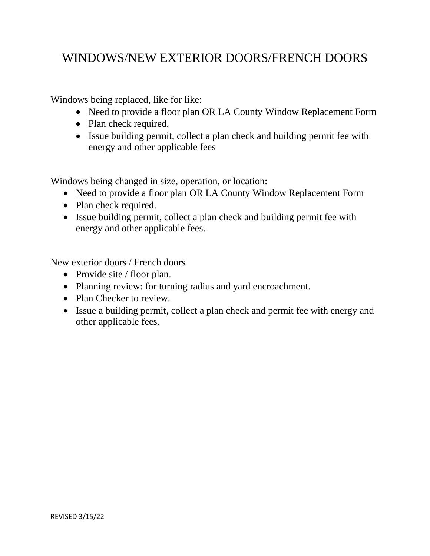# WINDOWS/NEW EXTERIOR DOORS/FRENCH DOORS

Windows being replaced, like for like:

- Need to provide a floor plan OR LA County Window Replacement Form
- Plan check required.
- Issue building permit, collect a plan check and building permit fee with energy and other applicable fees

Windows being changed in size, operation, or location:

- Need to provide a floor plan OR LA County Window Replacement Form
- Plan check required.
- Issue building permit, collect a plan check and building permit fee with energy and other applicable fees.

New exterior doors / French doors

- Provide site / floor plan.
- Planning review: for turning radius and yard encroachment.
- Plan Checker to review.
- Issue a building permit, collect a plan check and permit fee with energy and other applicable fees.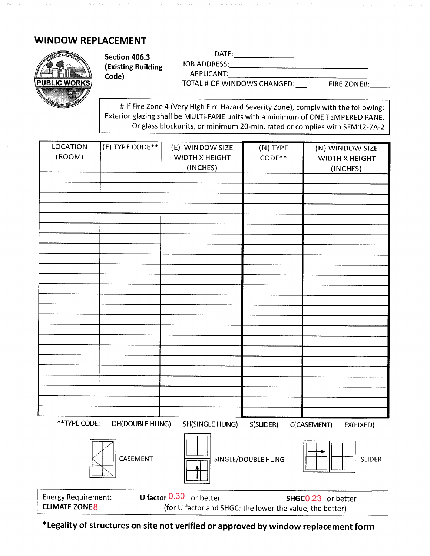## **WINDOW REPLACEMENT**



|               | Section 406.3       | DATE:                       |                    |
|---------------|---------------------|-----------------------------|--------------------|
|               | (Existing Building) | JOB ADDRESS:                |                    |
|               | Code)               | APPLICANT:                  |                    |
| PUBLIC WORKS! |                     | TOTAL # OF WINDOWS CHANGED: | <b>FIRE ZONE#:</b> |

# If Fire Zone <sup>4</sup> (Very High Fire Hazard Severity Zone), comply with the following: Exterior glazing shall be MULTI-PANE units with <sup>a</sup> minimum of ONE TEMPERED PANE, Or glass blockunits, or minimum 20-min. rated or complies with SFM12-7A-2

| <b>LOCATION</b>                                                                   | (E) TYPE CODE** | (E) WINDOW SIZE       | (N) TYPE           |                          |  |  |
|-----------------------------------------------------------------------------------|-----------------|-----------------------|--------------------|--------------------------|--|--|
| (ROOM)                                                                            |                 |                       |                    | (N) WINDOW SIZE          |  |  |
|                                                                                   |                 | <b>WIDTH X HEIGHT</b> | $CODE***$          | <b>WIDTH X HEIGHT</b>    |  |  |
|                                                                                   |                 | (INCHES)              |                    | (INCHES)                 |  |  |
|                                                                                   |                 |                       |                    |                          |  |  |
|                                                                                   |                 |                       |                    |                          |  |  |
|                                                                                   |                 |                       |                    |                          |  |  |
|                                                                                   |                 |                       |                    |                          |  |  |
|                                                                                   |                 |                       |                    |                          |  |  |
|                                                                                   |                 |                       |                    |                          |  |  |
|                                                                                   |                 |                       |                    |                          |  |  |
|                                                                                   |                 |                       |                    |                          |  |  |
|                                                                                   |                 |                       |                    |                          |  |  |
|                                                                                   |                 |                       |                    |                          |  |  |
|                                                                                   |                 |                       |                    |                          |  |  |
|                                                                                   |                 |                       |                    |                          |  |  |
|                                                                                   |                 |                       |                    |                          |  |  |
|                                                                                   |                 |                       |                    |                          |  |  |
|                                                                                   |                 |                       |                    |                          |  |  |
|                                                                                   |                 |                       |                    |                          |  |  |
|                                                                                   |                 |                       |                    |                          |  |  |
|                                                                                   |                 |                       |                    |                          |  |  |
|                                                                                   |                 |                       |                    |                          |  |  |
|                                                                                   |                 |                       |                    |                          |  |  |
|                                                                                   |                 |                       |                    |                          |  |  |
|                                                                                   |                 |                       |                    |                          |  |  |
|                                                                                   |                 |                       |                    |                          |  |  |
|                                                                                   |                 |                       |                    |                          |  |  |
| **TYPE CODE:                                                                      | DH(DOUBLE HUNG) | SH(SINGLE HUNG)       | S(SLIDER)          | C(CASEMENT)<br>FX(FIXED) |  |  |
|                                                                                   |                 |                       |                    |                          |  |  |
|                                                                                   |                 |                       |                    |                          |  |  |
|                                                                                   |                 |                       |                    |                          |  |  |
|                                                                                   | CASEMENT        |                       | SINGLE/DOUBLE HUNG | <b>SLIDER</b>            |  |  |
|                                                                                   |                 |                       |                    |                          |  |  |
|                                                                                   |                 |                       |                    |                          |  |  |
|                                                                                   |                 |                       |                    |                          |  |  |
| U factor: 0.30 or better<br><b>Energy Requirement:</b><br>SHGC0.23 or better      |                 |                       |                    |                          |  |  |
| <b>CLIMATE ZONE 8</b><br>(for U factor and SHGC: the lower the value, the better) |                 |                       |                    |                          |  |  |

**\* Legality of structures on site not verified or approved by window replacement form**